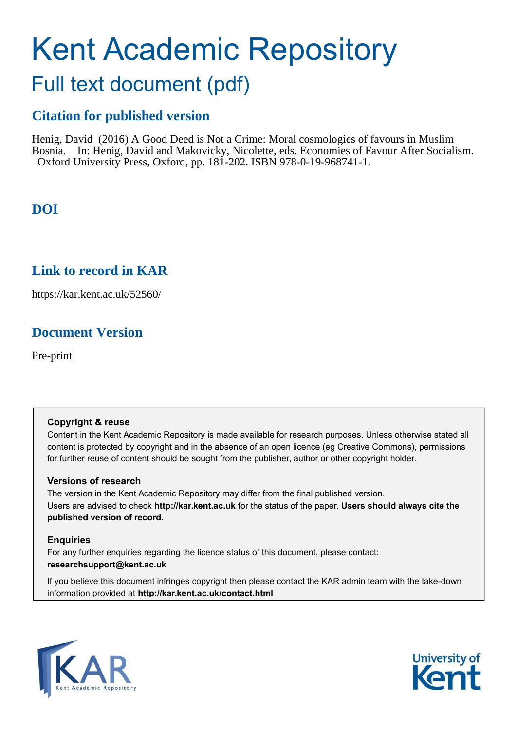# Kent Academic Repository

# Full text document (pdf)

# **Citation for published version**

Henig, David (2016) A Good Deed is Not a Crime: Moral cosmologies of favours in Muslim Bosnia. In: Henig, David and Makovicky, Nicolette, eds. Economies of Favour After Socialism. Oxford University Press, Oxford, pp. 181-202. ISBN 978-0-19-968741-1.

# **DOI**

# **Link to record in KAR**

https://kar.kent.ac.uk/52560/

# **Document Version**

Pre-print

# **Copyright & reuse**

Content in the Kent Academic Repository is made available for research purposes. Unless otherwise stated all content is protected by copyright and in the absence of an open licence (eg Creative Commons), permissions for further reuse of content should be sought from the publisher, author or other copyright holder.

# **Versions of research**

The version in the Kent Academic Repository may differ from the final published version. Users are advised to check **http://kar.kent.ac.uk** for the status of the paper. **Users should always cite the published version of record.**

# **Enquiries**

For any further enquiries regarding the licence status of this document, please contact: **researchsupport@kent.ac.uk**

If you believe this document infringes copyright then please contact the KAR admin team with the take-down information provided at **http://kar.kent.ac.uk/contact.html**



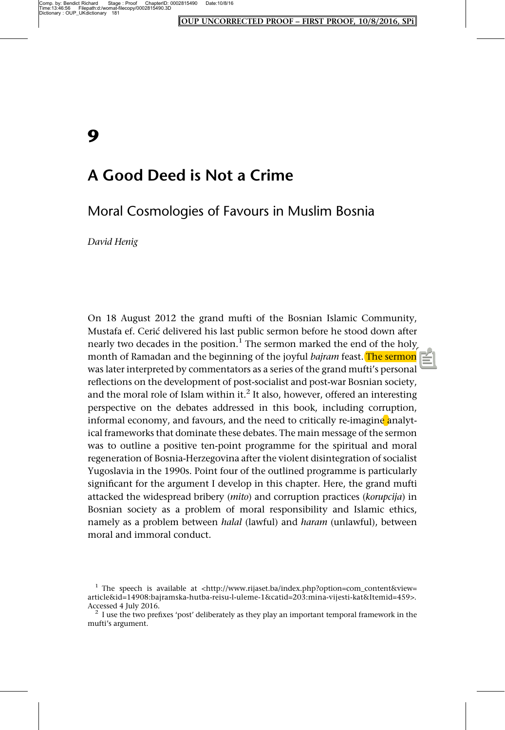# **9**

# **A Good Deed is Not a Crime**

Moral Cosmologies of Favours in Muslim Bosnia

*David Henig*

On 18 August 2012 the grand mufti of the Bosnian Islamic Community, Mustafa ef. Cerić delivered his last public sermon before he stood down after nearly two decades in the position.<sup>1</sup> The sermon marked the end of the holy month of Ramadan and the beginning of the joyful *bajram* feast. The sermon was later interpreted by commentators as a series of the grand mufti's personal reflections on the development of post-socialist and post-war Bosnian society, and the moral role of Islam within it.<sup>2</sup> It also, however, offered an interesting perspective on the debates addressed in this book, including corruption, informal economy, and favours, and the need to critically re-imagine analytical frameworks that dominate these debates. The main message of the sermon was to outline a positive ten-point programme for the spiritual and moral regeneration of Bosnia-Herzegovina after the violent disintegration of socialist Yugoslavia in the 1990s. Point four of the outlined programme is particularly significant for the argument I develop in this chapter. Here, the grand mufti attacked the widespread bribery (*mito*) and corruption practices (*korupcija*) in Bosnian society as a problem of moral responsibility and Islamic ethics, namely as a problem between *halal* (lawful) and *haram* (unlawful), between moral and immoral conduct.

<sup>&</sup>lt;sup>1</sup> The speech is available at <http://www.rijaset.ba/index.php?option=com\_content&view= article&id=14908:bajramska-hutba-reisu-l-uleme-1&catid=203:mina-vijesti-kat&Itemid=459>. Accessed 4 July 2016.

 $2$  I use the two prefixes 'post' deliberately as they play an important temporal framework in the mufti's argument.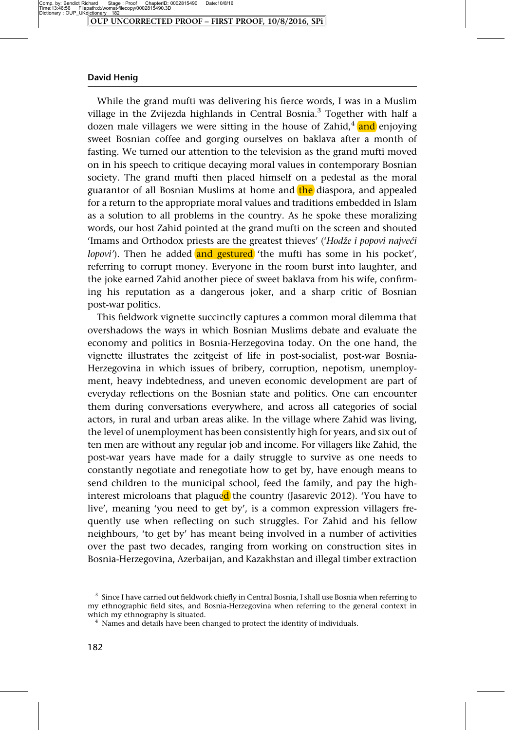## **David Henig**

While the grand mufti was delivering his fierce words, I was in a Muslim village in the Zvijezda highlands in Central Bosnia. $^3$  Together with half a dozen male villagers we were sitting in the house of Zahid,<sup>4</sup> <mark>and</mark> enjoying sweet Bosnian coffee and gorging ourselves on baklava after a month of fasting. We turned our attention to the television as the grand mufti moved on in his speech to critique decaying moral values in contemporary Bosnian society. The grand mufti then placed himself on a pedestal as the moral guarantor of all Bosnian Muslims at home and the diaspora, and appealed for a return to the appropriate moral values and traditions embedded in Islam as a solution to all problems in the country. As he spoke these moralizing words, our host Zahid pointed at the grand mufti on the screen and shouted 'Imams and Orthodox priests are the greatest thieves' ('*Hodže i popovi najveći lopovi*<sup>'</sup>). Then he added and gestured 'the mufti has some in his pocket'. referring to corrupt money. Everyone in the room burst into laughter, and the joke earned Zahid another piece of sweet baklava from his wife, confirming his reputation as a dangerous joker, and a sharp critic of Bosnian post-war politics.

This fieldwork vignette succinctly captures a common moral dilemma that overshadows the ways in which Bosnian Muslims debate and evaluate the economy and politics in Bosnia-Herzegovina today. On the one hand, the vignette illustrates the zeitgeist of life in post-socialist, post-war Bosnia-Herzegovina in which issues of bribery, corruption, nepotism, unemployment, heavy indebtedness, and uneven economic development are part of everyday reflections on the Bosnian state and politics. One can encounter them during conversations everywhere, and across all categories of social actors, in rural and urban areas alike. In the village where Zahid was living, the level of unemployment has been consistently high for years, and six out of ten men are without any regular job and income. For villagers like Zahid, the post-war years have made for a daily struggle to survive as one needs to constantly negotiate and renegotiate how to get by, have enough means to send children to the municipal school, feed the family, and pay the highinterest microloans that plagued the country (Jasarevic 2012). 'You have to live', meaning 'you need to get by', is a common expression villagers frequently use when reflecting on such struggles. For Zahid and his fellow neighbours, 'to get by' has meant being involved in a number of activities over the past two decades, ranging from working on construction sites in Bosnia-Herzegovina, Azerbaijan, and Kazakhstan and illegal timber extraction

 $^3$  Since I have carried out fieldwork chiefly in Central Bosnia, I shall use Bosnia when referring to my ethnographic field sites, and Bosnia-Herzegovina when referring to the general context in which my ethnography is situated.

<sup>&</sup>lt;sup>4</sup> Names and details have been changed to protect the identity of individuals.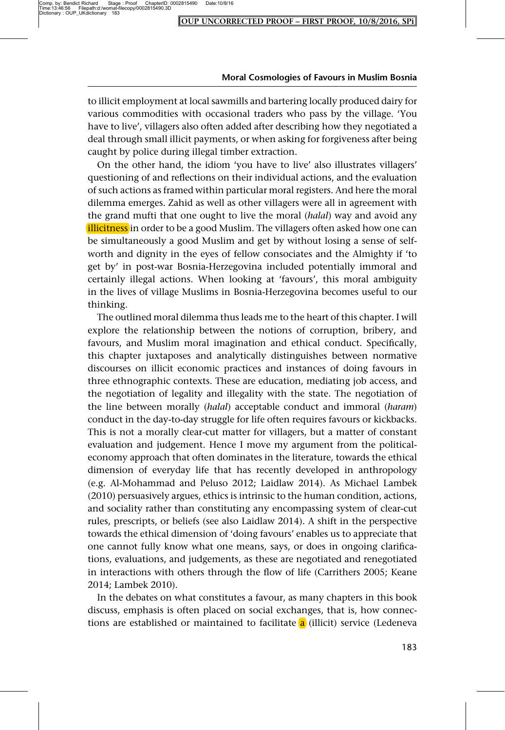to illicit employment at local sawmills and bartering locally produced dairy for various commodities with occasional traders who pass by the village. 'You have to live', villagers also often added after describing how they negotiated a deal through small illicit payments, or when asking for forgiveness after being caught by police during illegal timber extraction.

On the other hand, the idiom 'you have to live' also illustrates villagers' questioning of and reflections on their individual actions, and the evaluation of such actions as framed within particular moral registers. And here the moral dilemma emerges. Zahid as well as other villagers were all in agreement with the grand mufti that one ought to live the moral (*halal*) way and avoid any illicitness in order to be a good Muslim. The villagers often asked how one can be simultaneously a good Muslim and get by without losing a sense of selfworth and dignity in the eyes of fellow consociates and the Almighty if 'to get by' in post-war Bosnia-Herzegovina included potentially immoral and certainly illegal actions. When looking at 'favours', this moral ambiguity in the lives of village Muslims in Bosnia-Herzegovina becomes useful to our thinking.

The outlined moral dilemma thus leads me to the heart of this chapter. I will explore the relationship between the notions of corruption, bribery, and favours, and Muslim moral imagination and ethical conduct. Specifically, this chapter juxtaposes and analytically distinguishes between normative discourses on illicit economic practices and instances of doing favours in three ethnographic contexts. These are education, mediating job access, and the negotiation of legality and illegality with the state. The negotiation of the line between morally (*halal*) acceptable conduct and immoral (*haram*) conduct in the day-to-day struggle for life often requires favours or kickbacks. This is not a morally clear-cut matter for villagers, but a matter of constant evaluation and judgement. Hence I move my argument from the politicaleconomy approach that often dominates in the literature, towards the ethical dimension of everyday life that has recently developed in anthropology (e.g. Al-Mohammad and Peluso 2012; Laidlaw 2014). As Michael Lambek (2010) persuasively argues, ethics is intrinsic to the human condition, actions, and sociality rather than constituting any encompassing system of clear-cut rules, prescripts, or beliefs (see also Laidlaw 2014). A shift in the perspective towards the ethical dimension of 'doing favours' enables us to appreciate that one cannot fully know what one means, says, or does in ongoing clarifications, evaluations, and judgements, as these are negotiated and renegotiated in interactions with others through the flow of life (Carrithers 2005; Keane 2014; Lambek 2010).

In the debates on what constitutes a favour, as many chapters in this book discuss, emphasis is often placed on social exchanges, that is, how connections are established or maintained to facilitate  $\alpha$  (illicit) service (Ledeneva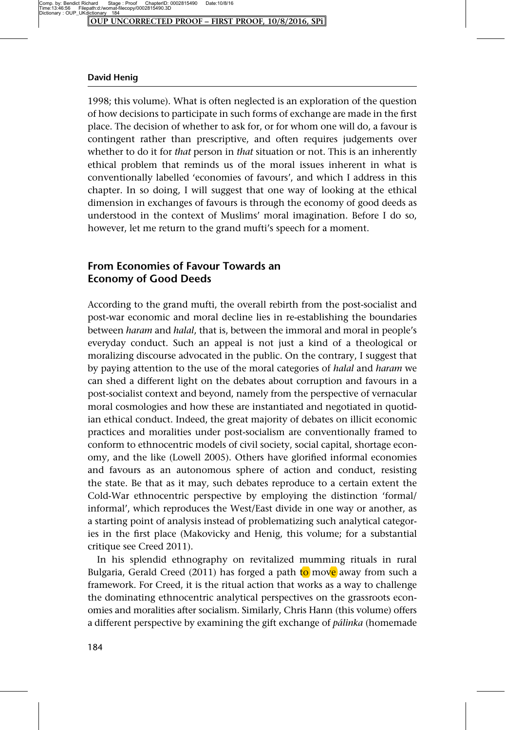## **David Henig**

1998; this volume). What is often neglected is an exploration of the question of how decisions to participate in such forms of exchange are made in the first place. The decision of whether to ask for, or for whom one will do, a favour is contingent rather than prescriptive, and often requires judgements over whether to do it for *that* person in *that* situation or not. This is an inherently ethical problem that reminds us of the moral issues inherent in what is conventionally labelled 'economies of favours', and which I address in this chapter. In so doing, I will suggest that one way of looking at the ethical dimension in exchanges of favours is through the economy of good deeds as understood in the context of Muslims' moral imagination. Before I do so, however, let me return to the grand mufti's speech for a moment.

# **From Economies of Favour Towards an Economy of Good Deeds**

According to the grand mufti, the overall rebirth from the post-socialist and post-war economic and moral decline lies in re-establishing the boundaries between *haram* and *halal*, that is, between the immoral and moral in people's everyday conduct. Such an appeal is not just a kind of a theological or moralizing discourse advocated in the public. On the contrary, I suggest that by paying attention to the use of the moral categories of *halal* and *haram* we can shed a different light on the debates about corruption and favours in a post-socialist context and beyond, namely from the perspective of vernacular moral cosmologies and how these are instantiated and negotiated in quotidian ethical conduct. Indeed, the great majority of debates on illicit economic practices and moralities under post-socialism are conventionally framed to conform to ethnocentric models of civil society, social capital, shortage economy, and the like (Lowell 2005). Others have glorified informal economies and favours as an autonomous sphere of action and conduct, resisting the state. Be that as it may, such debates reproduce to a certain extent the Cold-War ethnocentric perspective by employing the distinction 'formal/ informal', which reproduces the West/East divide in one way or another, as a starting point of analysis instead of problematizing such analytical categories in the first place (Makovicky and Henig, this volume; for a substantial critique see Creed 2011).

In his splendid ethnography on revitalized mumming rituals in rural Bulgaria, Gerald Creed (2011) has forged a path to move away from such a framework. For Creed, it is the ritual action that works as a way to challenge the dominating ethnocentric analytical perspectives on the grassroots economies and moralities after socialism. Similarly, Chris Hann (this volume) offers a different perspective by examining the gift exchange of *pálinka* (homemade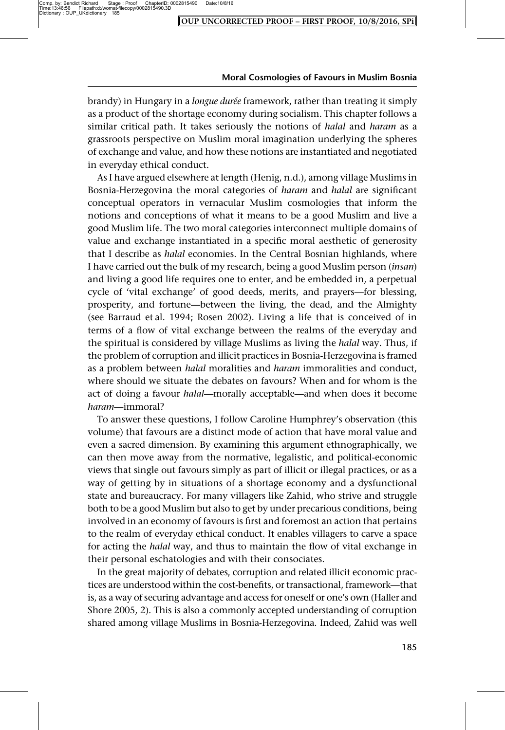brandy) in Hungary in a *longue durée* framework, rather than treating it simply as a product of the shortage economy during socialism. This chapter follows a similar critical path. It takes seriously the notions of *halal* and *haram* as a grassroots perspective on Muslim moral imagination underlying the spheres of exchange and value, and how these notions are instantiated and negotiated in everyday ethical conduct.

As I have argued elsewhere at length (Henig, n.d.), among village Muslims in Bosnia-Herzegovina the moral categories of *haram* and *halal* are significant conceptual operators in vernacular Muslim cosmologies that inform the notions and conceptions of what it means to be a good Muslim and live a good Muslim life. The two moral categories interconnect multiple domains of value and exchange instantiated in a specific moral aesthetic of generosity that I describe as *halal* economies. In the Central Bosnian highlands, where I have carried out the bulk of my research, being a good Muslim person (*insan*) and living a good life requires one to enter, and be embedded in, a perpetual cycle of 'vital exchange' of good deeds, merits, and prayers—for blessing, prosperity, and fortune—between the living, the dead, and the Almighty (see Barraud et al. 1994; Rosen 2002). Living a life that is conceived of in terms of a flow of vital exchange between the realms of the everyday and the spiritual is considered by village Muslims as living the *halal* way. Thus, if the problem of corruption and illicit practices in Bosnia-Herzegovina is framed as a problem between *halal* moralities and *haram* immoralities and conduct, where should we situate the debates on favours? When and for whom is the act of doing a favour *halal—*morally acceptable—and when does it become *haram*—immoral?

To answer these questions, I follow Caroline Humphrey's observation (this volume) that favours are a distinct mode of action that have moral value and even a sacred dimension. By examining this argument ethnographically, we can then move away from the normative, legalistic, and political-economic views that single out favours simply as part of illicit or illegal practices, or as a way of getting by in situations of a shortage economy and a dysfunctional state and bureaucracy. For many villagers like Zahid, who strive and struggle both to be a good Muslim but also to get by under precarious conditions, being involved in an economy of favours is first and foremost an action that pertains to the realm of everyday ethical conduct. It enables villagers to carve a space for acting the *halal* way, and thus to maintain the flow of vital exchange in their personal eschatologies and with their consociates.

In the great majority of debates, corruption and related illicit economic practices are understood within the cost-benefits, or transactional, framework—that is, as a way of securing advantage and access for oneself or one's own (Haller and Shore 2005, 2). This is also a commonly accepted understanding of corruption shared among village Muslims in Bosnia-Herzegovina. Indeed, Zahid was well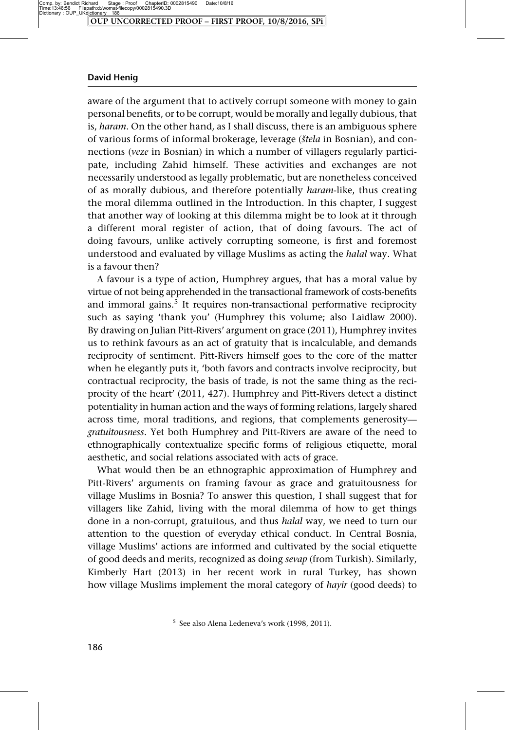# **David Henig**

aware of the argument that to actively corrupt someone with money to gain personal benefits, or to be corrupt, would be morally and legally dubious, that is, *haram*. On the other hand, as I shall discuss, there is an ambiguous sphere of various forms of informal brokerage, leverage (*štela* in Bosnian), and connections (*veze* in Bosnian) in which a number of villagers regularly participate, including Zahid himself. These activities and exchanges are not necessarily understood as legally problematic, but are nonetheless conceived of as morally dubious, and therefore potentially *haram*-like, thus creating the moral dilemma outlined in the Introduction. In this chapter, I suggest that another way of looking at this dilemma might be to look at it through a different moral register of action, that of doing favours. The act of doing favours, unlike actively corrupting someone, is first and foremost understood and evaluated by village Muslims as acting the *halal* way. What is a favour then?

A favour is a type of action, Humphrey argues, that has a moral value by virtue of not being apprehended in the transactional framework of costs-benefits and immoral gains.<sup>5</sup> It requires non-transactional performative reciprocity such as saying 'thank you' (Humphrey this volume; also Laidlaw 2000). By drawing on Julian Pitt-Rivers' argument on grace (2011), Humphrey invites us to rethink favours as an act of gratuity that is incalculable, and demands reciprocity of sentiment. Pitt-Rivers himself goes to the core of the matter when he elegantly puts it, 'both favors and contracts involve reciprocity, but contractual reciprocity, the basis of trade, is not the same thing as the reciprocity of the heart' (2011, 427). Humphrey and Pitt-Rivers detect a distinct potentiality in human action and the ways of forming relations, largely shared across time, moral traditions, and regions, that complements generosity *gratuitousness*. Yet both Humphrey and Pitt-Rivers are aware of the need to ethnographically contextualize specific forms of religious etiquette, moral aesthetic, and social relations associated with acts of grace.

What would then be an ethnographic approximation of Humphrey and Pitt-Rivers' arguments on framing favour as grace and gratuitousness for village Muslims in Bosnia? To answer this question, I shall suggest that for villagers like Zahid, living with the moral dilemma of how to get things done in a non-corrupt, gratuitous, and thus *halal* way, we need to turn our attention to the question of everyday ethical conduct. In Central Bosnia, village Muslims' actions are informed and cultivated by the social etiquette of good deeds and merits, recognized as doing *sevap* (from Turkish). Similarly, Kimberly Hart (2013) in her recent work in rural Turkey, has shown how village Muslims implement the moral category of *hayir* (good deeds) to

<sup>5</sup> See also Alena Ledeneva's work (1998, 2011).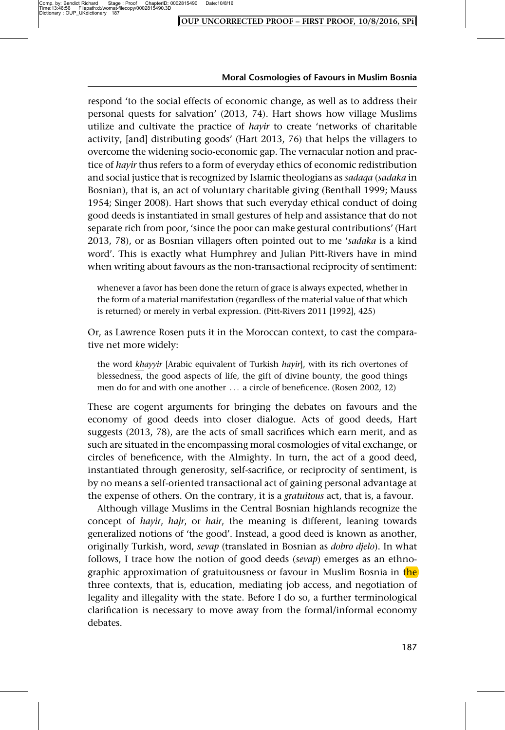respond 'to the social effects of economic change, as well as to address their personal quests for salvation' (2013, 74). Hart shows how village Muslims utilize and cultivate the practice of *hayir* to create 'networks of charitable activity, [and] distributing goods' (Hart 2013, 76) that helps the villagers to overcome the widening socio-economic gap. The vernacular notion and practice of *hayir* thus refers to a form of everyday ethics of economic redistribution and social justice that is recognized by Islamic theologians as *sadaqa* (*sadaka* in Bosnian), that is, an act of voluntary charitable giving (Benthall 1999; Mauss 1954; Singer 2008). Hart shows that such everyday ethical conduct of doing good deeds is instantiated in small gestures of help and assistance that do not separate rich from poor, 'since the poor can make gestural contributions' (Hart 2013, 78), or as Bosnian villagers often pointed out to me '*sadaka* is a kind word'. This is exactly what Humphrey and Julian Pitt-Rivers have in mind when writing about favours as the non-transactional reciprocity of sentiment:

whenever a favor has been done the return of grace is always expected, whether in the form of a material manifestation (regardless of the material value of that which is returned) or merely in verbal expression. (Pitt-Rivers 2011 [1992], 425)

Or, as Lawrence Rosen puts it in the Moroccan context, to cast the comparative net more widely:

the word *khayyir* [Arabic equivalent of Turkish *hayir*], with its rich overtones of blessedness, the good aspects of life, the gift of divine bounty, the good things men do for and with one another ... a circle of beneficence. (Rosen 2002, 12)

These are cogent arguments for bringing the debates on favours and the economy of good deeds into closer dialogue. Acts of good deeds, Hart suggests (2013, 78), are the acts of small sacrifices which earn merit, and as such are situated in the encompassing moral cosmologies of vital exchange, or circles of beneficence, with the Almighty. In turn, the act of a good deed, instantiated through generosity, self-sacrifice, or reciprocity of sentiment, is by no means a self-oriented transactional act of gaining personal advantage at the expense of others. On the contrary, it is a *gratuitous* act, that is, a favour.

Although village Muslims in the Central Bosnian highlands recognize the concept of *hayir*, *hajr*, or *hair*, the meaning is different, leaning towards generalized notions of 'the good'. Instead, a good deed is known as another, originally Turkish, word, *sevap* (translated in Bosnian as *dobro djelo*). In what follows, I trace how the notion of good deeds (*sevap*) emerges as an ethnographic approximation of gratuitousness or favour in Muslim Bosnia in the three contexts, that is, education, mediating job access, and negotiation of legality and illegality with the state. Before I do so, a further terminological clarification is necessary to move away from the formal/informal economy debates.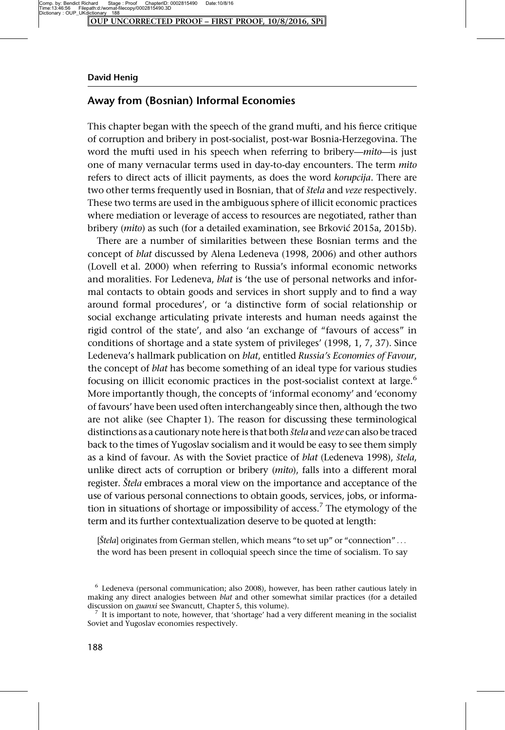# **David Henig**

# **Away from (Bosnian) Informal Economies**

This chapter began with the speech of the grand mufti, and his fierce critique of corruption and bribery in post-socialist, post-war Bosnia-Herzegovina. The word the mufti used in his speech when referring to bribery—*mito*—is just one of many vernacular terms used in day-to-day encounters. The term *mito* refers to direct acts of illicit payments, as does the word *korupcija*. There are two other terms frequently used in Bosnian, that of *štela* and *veze* respectively. These two terms are used in the ambiguous sphere of illicit economic practices where mediation or leverage of access to resources are negotiated, rather than bribery (*mito*) as such (for a detailed examination, see Brković 2015a, 2015b).

There are a number of similarities between these Bosnian terms and the concept of *blat* discussed by Alena Ledeneva (1998, 2006) and other authors (Lovell et al. 2000) when referring to Russia's informal economic networks and moralities. For Ledeneva, *blat* is 'the use of personal networks and informal contacts to obtain goods and services in short supply and to find a way around formal procedures', or 'a distinctive form of social relationship or social exchange articulating private interests and human needs against the rigid control of the state', and also 'an exchange of "favours of access" in conditions of shortage and a state system of privileges' (1998, 1, 7, 37). Since Ledeneva's hallmark publication on *blat*, entitled *Russia's Economies of Favour*, the concept of *blat* has become something of an ideal type for various studies focusing on illicit economic practices in the post-socialist context at large.<sup>6</sup> More importantly though, the concepts of 'informal economy' and 'economy of favours' have been used often interchangeably since then, although the two are not alike (see Chapter 1). The reason for discussing these terminological distinctions as a cautionary note here is that both *štela* and *veze* can also be traced back to the times of Yugoslav socialism and it would be easy to see them simply as a kind of favour. As with the Soviet practice of *blat* (Ledeneva 1998), *štela*, unlike direct acts of corruption or bribery (*mito*), falls into a different moral register. *Štela* embraces a moral view on the importance and acceptance of the use of various personal connections to obtain goods, services, jobs, or information in situations of shortage or impossibility of access.<sup>7</sup> The etymology of the term and its further contextualization deserve to be quoted at length:

[*Štela*] originates from German stellen, which means "to set up" or "connection" ... the word has been present in colloquial speech since the time of socialism. To say

<sup>&</sup>lt;sup>6</sup> Ledeneva (personal communication; also 2008), however, has been rather cautious lately in making any direct analogies between *blat* and other somewhat similar practices (for a detailed discussion on *guanxi* see Swancutt, Chapter 5, this volume).

 $<sup>7</sup>$  It is important to note, however, that 'shortage' had a very different meaning in the socialist</sup> Soviet and Yugoslav economies respectively.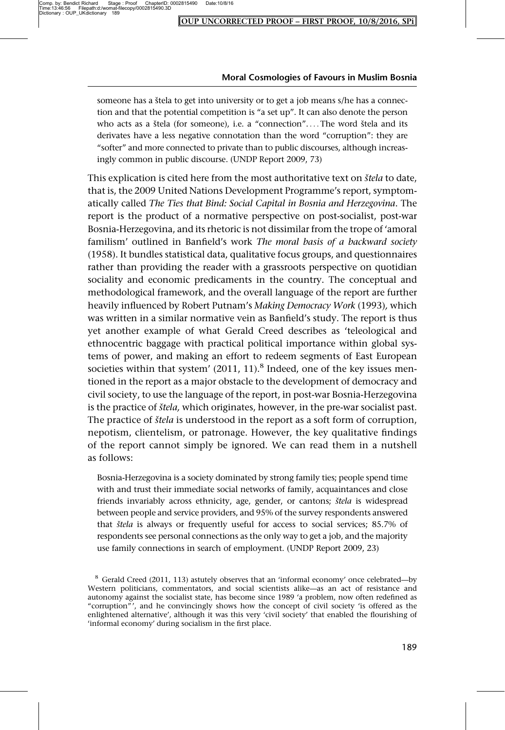# **Moral Cosmologies of Favours in Muslim Bosnia**

someone has a štela to get into university or to get a job means s/he has a connection and that the potential competition is "a set up". It can also denote the person who acts as a štela (for someone), i.e. a "connection". ... The word štela and its derivates have a less negative connotation than the word "corruption": they are "softer" and more connected to private than to public discourses, although increasingly common in public discourse. (UNDP Report 2009, 73)

This explication is cited here from the most authoritative text on *štela* to date, that is, the 2009 United Nations Development Programme's report, symptomatically called *The Ties that Bind: Social Capital in Bosnia and Herzegovina*. The report is the product of a normative perspective on post-socialist, post-war Bosnia-Herzegovina, and its rhetoric is not dissimilar from the trope of 'amoral familism' outlined in Banfield's work *The moral basis of a backward society* (1958). It bundles statistical data, qualitative focus groups, and questionnaires rather than providing the reader with a grassroots perspective on quotidian sociality and economic predicaments in the country. The conceptual and methodological framework, and the overall language of the report are further heavily influenced by Robert Putnam's *Making Democracy Work* (1993)*,* which was written in a similar normative vein as Banfield's study. The report is thus yet another example of what Gerald Creed describes as 'teleological and ethnocentric baggage with practical political importance within global systems of power, and making an effort to redeem segments of East European societies within that system'  $(2011, 11)$ .<sup>8</sup> Indeed, one of the key issues mentioned in the report as a major obstacle to the development of democracy and civil society, to use the language of the report, in post-war Bosnia-Herzegovina is the practice of *štela,* which originates, however, in the pre-war socialist past. The practice of *štela* is understood in the report as a soft form of corruption, nepotism, clientelism, or patronage. However, the key qualitative findings of the report cannot simply be ignored. We can read them in a nutshell as follows:

Bosnia-Herzegovina is a society dominated by strong family ties; people spend time with and trust their immediate social networks of family, acquaintances and close friends invariably across ethnicity, age, gender, or cantons; *štela* is widespread between people and service providers, and 95% of the survey respondents answered that *štela* is always or frequently useful for access to social services; 85.7% of respondents see personal connections as the only way to get a job, and the majority use family connections in search of employment. (UNDP Report 2009, 23)

<sup>8</sup> Gerald Creed (2011, 113) astutely observes that an 'informal economy' once celebrated—by Western politicians, commentators, and social scientists alike—as an act of resistance and autonomy against the socialist state, has become since 1989 'a problem, now often redefined as "corruption"', and he convincingly shows how the concept of civil society 'is offered as the enlightened alternative', although it was this very 'civil society' that enabled the flourishing of 'informal economy' during socialism in the first place.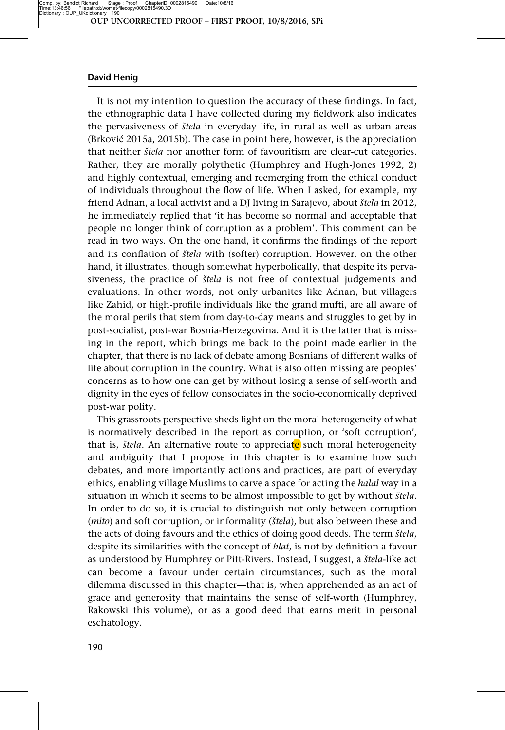## **David Henig**

It is not my intention to question the accuracy of these findings. In fact, the ethnographic data I have collected during my fieldwork also indicates the pervasiveness of *štela* in everyday life, in rural as well as urban areas (Brković 2015a, 2015b). The case in point here, however, is the appreciation that neither *štela* nor another form of favouritism are clear-cut categories. Rather, they are morally polythetic (Humphrey and Hugh-Jones 1992, 2) and highly contextual, emerging and reemerging from the ethical conduct of individuals throughout the flow of life. When I asked, for example, my friend Adnan, a local activist and a DJ living in Sarajevo, about *štela* in 2012, he immediately replied that 'it has become so normal and acceptable that people no longer think of corruption as a problem'. This comment can be read in two ways. On the one hand, it confirms the findings of the report and its conflation of *štela* with (softer) corruption. However, on the other hand, it illustrates, though somewhat hyperbolically, that despite its pervasiveness, the practice of *štela* is not free of contextual judgements and evaluations. In other words, not only urbanites like Adnan, but villagers like Zahid, or high-profile individuals like the grand mufti, are all aware of the moral perils that stem from day-to-day means and struggles to get by in post-socialist, post-war Bosnia-Herzegovina. And it is the latter that is missing in the report, which brings me back to the point made earlier in the chapter, that there is no lack of debate among Bosnians of different walks of life about corruption in the country. What is also often missing are peoples' concerns as to how one can get by without losing a sense of self-worth and dignity in the eyes of fellow consociates in the socio-economically deprived post-war polity.

This grassroots perspective sheds light on the moral heterogeneity of what is normatively described in the report as corruption, or 'soft corruption', that is, *štela*. An alternative route to appreciate such moral heterogeneity and ambiguity that I propose in this chapter is to examine how such debates, and more importantly actions and practices, are part of everyday ethics, enabling village Muslims to carve a space for acting the *halal* way in a situation in which it seems to be almost impossible to get by without *štela*. In order to do so, it is crucial to distinguish not only between corruption (*mito*) and soft corruption, or informality (*štela*), but also between these and the acts of doing favours and the ethics of doing good deeds. The term *štela*, despite its similarities with the concept of *blat*, is not by definition a favour as understood by Humphrey or Pitt-Rivers. Instead, I suggest, a *štela*-like act can become a favour under certain circumstances, such as the moral dilemma discussed in this chapter—that is, when apprehended as an act of grace and generosity that maintains the sense of self-worth (Humphrey, Rakowski this volume), or as a good deed that earns merit in personal eschatology.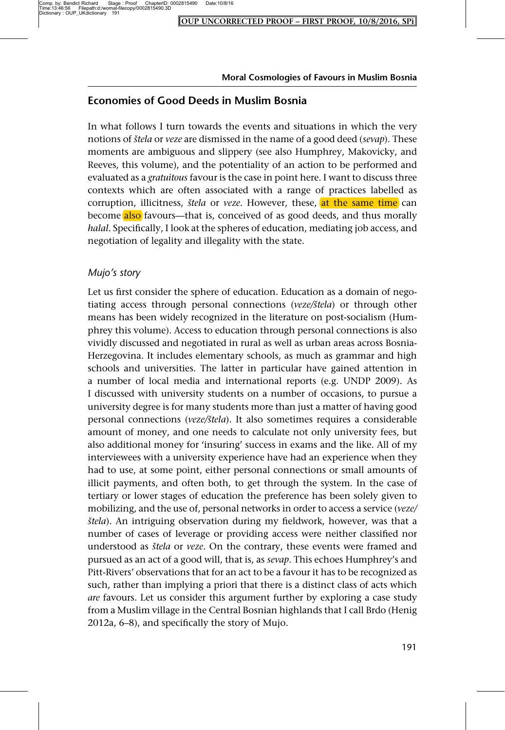# **Economies of Good Deeds in Muslim Bosnia**

In what follows I turn towards the events and situations in which the very notions of *štela* or *veze* are dismissed in the name of a good deed (*sevap*). These moments are ambiguous and slippery (see also Humphrey, Makovicky, and Reeves, this volume), and the potentiality of an action to be performed and evaluated as a *gratuitous* favour is the case in point here. I want to discuss three contexts which are often associated with a range of practices labelled as corruption, illicitness, *štela* or *veze*. However, these, at the same time can become also favours—that is, conceived of as good deeds, and thus morally *halal*. Specifically, I look at the spheres of education, mediating job access, and negotiation of legality and illegality with the state.

# *Mujo's story*

Let us first consider the sphere of education. Education as a domain of negotiating access through personal connections (*veze/štela*) or through other means has been widely recognized in the literature on post-socialism (Humphrey this volume). Access to education through personal connections is also vividly discussed and negotiated in rural as well as urban areas across Bosnia-Herzegovina. It includes elementary schools, as much as grammar and high schools and universities. The latter in particular have gained attention in a number of local media and international reports (e.g. UNDP 2009). As I discussed with university students on a number of occasions, to pursue a university degree is for many students more than just a matter of having good personal connections (*veze/štela*). It also sometimes requires a considerable amount of money, and one needs to calculate not only university fees, but also additional money for 'insuring' success in exams and the like. All of my interviewees with a university experience have had an experience when they had to use, at some point, either personal connections or small amounts of illicit payments, and often both, to get through the system. In the case of tertiary or lower stages of education the preference has been solely given to mobilizing, and the use of, personal networks in order to access a service (*veze/ štela*). An intriguing observation during my fieldwork, however, was that a number of cases of leverage or providing access were neither classified nor understood as *štela* or *veze*. On the contrary, these events were framed and pursued as an act of a good will, that is, as *sevap*. This echoes Humphrey's and Pitt-Rivers' observations that for an act to be a favour it has to be recognized as such, rather than implying a priori that there is a distinct class of acts which *are* favours. Let us consider this argument further by exploring a case study from a Muslim village in the Central Bosnian highlands that I call Brdo (Henig 2012a, 6–8), and specifically the story of Mujo.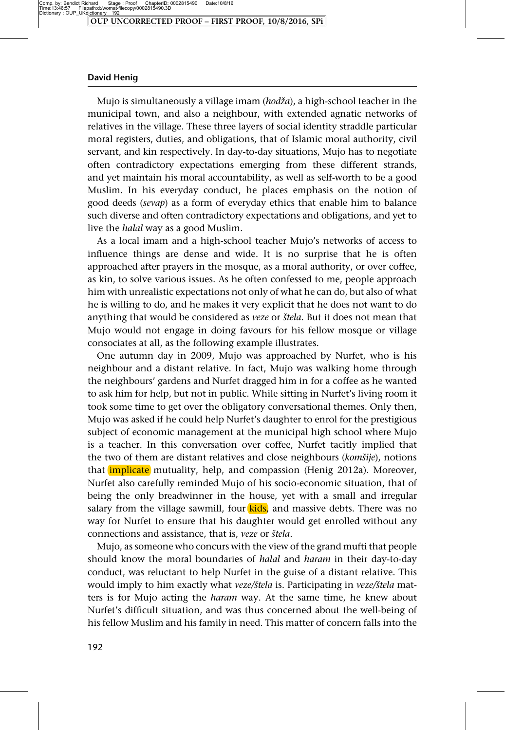# **David Henig**

Mujo is simultaneously a village imam (*hodža*), a high-school teacher in the municipal town, and also a neighbour, with extended agnatic networks of relatives in the village. These three layers of social identity straddle particular moral registers, duties, and obligations, that of Islamic moral authority, civil servant, and kin respectively. In day-to-day situations, Mujo has to negotiate often contradictory expectations emerging from these different strands, and yet maintain his moral accountability, as well as self-worth to be a good Muslim. In his everyday conduct, he places emphasis on the notion of good deeds (*sevap*) as a form of everyday ethics that enable him to balance such diverse and often contradictory expectations and obligations, and yet to live the *halal* way as a good Muslim.

As a local imam and a high-school teacher Mujo's networks of access to influence things are dense and wide. It is no surprise that he is often approached after prayers in the mosque, as a moral authority, or over coffee, as kin, to solve various issues. As he often confessed to me, people approach him with unrealistic expectations not only of what he can do, but also of what he is willing to do, and he makes it very explicit that he does not want to do anything that would be considered as *veze* or *štela*. But it does not mean that Mujo would not engage in doing favours for his fellow mosque or village consociates at all, as the following example illustrates.

One autumn day in 2009, Mujo was approached by Nurfet, who is his neighbour and a distant relative. In fact, Mujo was walking home through the neighbours' gardens and Nurfet dragged him in for a coffee as he wanted to ask him for help, but not in public. While sitting in Nurfet's living room it took some time to get over the obligatory conversational themes. Only then, Mujo was asked if he could help Nurfet's daughter to enrol for the prestigious subject of economic management at the municipal high school where Mujo is a teacher. In this conversation over coffee, Nurfet tacitly implied that the two of them are distant relatives and close neighbours (*komšije*), notions that implicate mutuality, help, and compassion (Henig 2012a). Moreover, Nurfet also carefully reminded Mujo of his socio-economic situation, that of being the only breadwinner in the house, yet with a small and irregular salary from the village sawmill, four kids, and massive debts. There was no way for Nurfet to ensure that his daughter would get enrolled without any connections and assistance, that is, *veze* or *štela*.

Mujo, as someone who concurs with the view of the grand mufti that people should know the moral boundaries of *halal* and *haram* in their day-to-day conduct, was reluctant to help Nurfet in the guise of a distant relative. This would imply to him exactly what *veze/štela* is. Participating in *veze/štela* matters is for Mujo acting the *haram* way. At the same time, he knew about Nurfet's difficult situation, and was thus concerned about the well-being of his fellow Muslim and his family in need. This matter of concern falls into the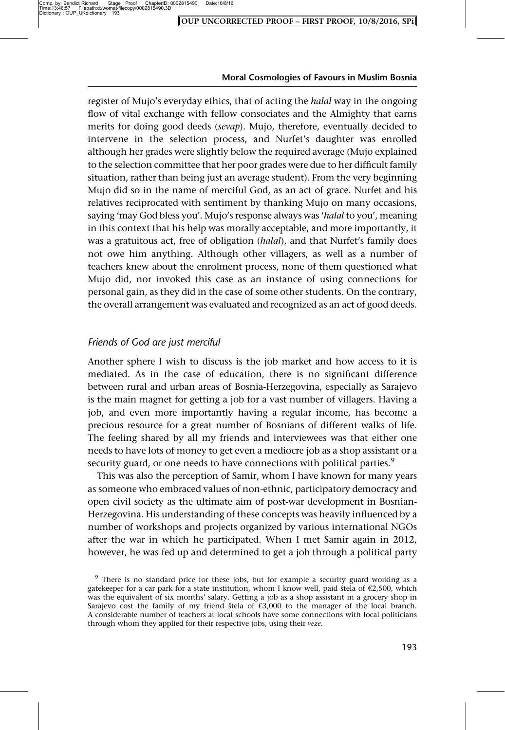# **Moral Cosmologies of Favours in Muslim Bosnia**

register of Mujo's everyday ethics, that of acting the *halal* way in the ongoing flow of vital exchange with fellow consociates and the Almighty that earns merits for doing good deeds (*sevap*). Mujo, therefore, eventually decided to intervene in the selection process, and Nurfet's daughter was enrolled although her grades were slightly below the required average (Mujo explained to the selection committee that her poor grades were due to her difficult family situation, rather than being just an average student). From the very beginning Mujo did so in the name of merciful God, as an act of grace. Nurfet and his relatives reciprocated with sentiment by thanking Mujo on many occasions, saying 'may God bless you'. Mujo's response always was '*halal* to you', meaning in this context that his help was morally acceptable, and more importantly, it was a gratuitous act, free of obligation (*halal*), and that Nurfet's family does not owe him anything. Although other villagers, as well as a number of teachers knew about the enrolment process, none of them questioned what Mujo did, nor invoked this case as an instance of using connections for personal gain, as they did in the case of some other students. On the contrary, the overall arrangement was evaluated and recognized as an act of good deeds.

# *Friends of God are just merciful*

Another sphere I wish to discuss is the job market and how access to it is mediated. As in the case of education, there is no significant difference between rural and urban areas of Bosnia-Herzegovina, especially as Sarajevo is the main magnet for getting a job for a vast number of villagers. Having a job, and even more importantly having a regular income, has become a precious resource for a great number of Bosnians of different walks of life. The feeling shared by all my friends and interviewees was that either one needs to have lots of money to get even a mediocre job as a shop assistant or a security guard, or one needs to have connections with political parties.<sup>9</sup>

This was also the perception of Samir, whom I have known for many years as someone who embraced values of non-ethnic, participatory democracy and open civil society as the ultimate aim of post-war development in Bosnian-Herzegovina. His understanding of these concepts was heavily influenced by a number of workshops and projects organized by various international NGOs after the war in which he participated. When I met Samir again in 2012, however, he was fed up and determined to get a job through a political party

<sup>&</sup>lt;sup>9</sup> There is no standard price for these jobs, but for example a security guard working as a gatekeeper for a car park for a state institution, whom I know well, paid štela of  $E2,500$ , which was the equivalent of six months' salary. Getting a job as a shop assistant in a grocery shop in Sarajevo cost the family of my friend štela of  $\epsilon$ 3,000 to the manager of the local branch. A considerable number of teachers at local schools have some connections with local politicians through whom they applied for their respective jobs, using their *veze*.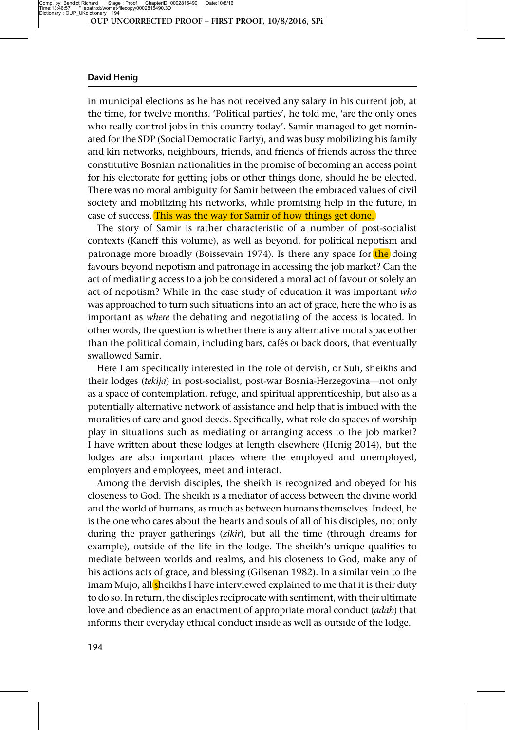#### **David Henig**

in municipal elections as he has not received any salary in his current job, at the time, for twelve months. 'Political parties', he told me, 'are the only ones who really control jobs in this country today'. Samir managed to get nominated for the SDP (Social Democratic Party), and was busy mobilizing his family and kin networks, neighbours, friends, and friends of friends across the three constitutive Bosnian nationalities in the promise of becoming an access point for his electorate for getting jobs or other things done, should he be elected. There was no moral ambiguity for Samir between the embraced values of civil society and mobilizing his networks, while promising help in the future, in case of success. This was the way for Samir of how things get done.

The story of Samir is rather characteristic of a number of post-socialist contexts (Kaneff this volume), as well as beyond, for political nepotism and patronage more broadly (Boissevain 1974). Is there any space for the doing favours beyond nepotism and patronage in accessing the job market? Can the act of mediating access to a job be considered a moral act of favour or solely an act of nepotism? While in the case study of education it was important *who* was approached to turn such situations into an act of grace, here the who is as important as *where* the debating and negotiating of the access is located. In other words, the question is whether there is any alternative moral space other than the political domain, including bars, cafés or back doors, that eventually swallowed Samir.

Here I am specifically interested in the role of dervish, or Sufi, sheikhs and their lodges (*tekija*) in post-socialist, post-war Bosnia-Herzegovina—not only as a space of contemplation, refuge, and spiritual apprenticeship, but also as a potentially alternative network of assistance and help that is imbued with the moralities of care and good deeds. Specifically, what role do spaces of worship play in situations such as mediating or arranging access to the job market? I have written about these lodges at length elsewhere (Henig 2014), but the lodges are also important places where the employed and unemployed, employers and employees, meet and interact.

Among the dervish disciples, the sheikh is recognized and obeyed for his closeness to God. The sheikh is a mediator of access between the divine world and the world of humans, as much as between humans themselves. Indeed, he is the one who cares about the hearts and souls of all of his disciples, not only during the prayer gatherings (*zikir*), but all the time (through dreams for example), outside of the life in the lodge. The sheikh's unique qualities to mediate between worlds and realms, and his closeness to God, make any of his actions acts of grace, and blessing (Gilsenan 1982). In a similar vein to the imam Mujo, all sheikhs I have interviewed explained to me that it is their duty to do so. In return, the disciples reciprocate with sentiment, with their ultimate love and obedience as an enactment of appropriate moral conduct (*adab*) that informs their everyday ethical conduct inside as well as outside of the lodge.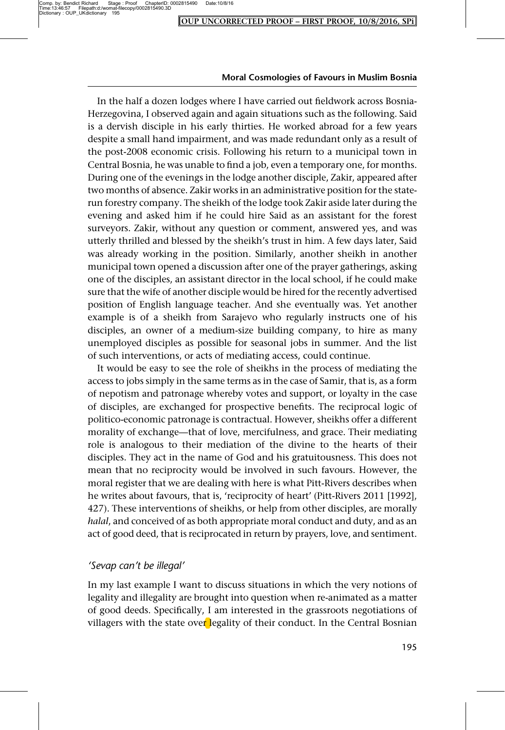In the half a dozen lodges where I have carried out fieldwork across Bosnia-Herzegovina, I observed again and again situations such as the following. Said is a dervish disciple in his early thirties. He worked abroad for a few years despite a small hand impairment, and was made redundant only as a result of the post-2008 economic crisis. Following his return to a municipal town in Central Bosnia, he was unable to find a job, even a temporary one, for months. During one of the evenings in the lodge another disciple, Zakir, appeared after two months of absence. Zakir works in an administrative position for the staterun forestry company. The sheikh of the lodge took Zakir aside later during the evening and asked him if he could hire Said as an assistant for the forest surveyors. Zakir, without any question or comment, answered yes, and was utterly thrilled and blessed by the sheikh's trust in him. A few days later, Said was already working in the position. Similarly, another sheikh in another municipal town opened a discussion after one of the prayer gatherings, asking one of the disciples, an assistant director in the local school, if he could make sure that the wife of another disciple would be hired for the recently advertised position of English language teacher. And she eventually was. Yet another example is of a sheikh from Sarajevo who regularly instructs one of his disciples, an owner of a medium-size building company, to hire as many unemployed disciples as possible for seasonal jobs in summer. And the list of such interventions, or acts of mediating access, could continue.

It would be easy to see the role of sheikhs in the process of mediating the access to jobs simply in the same terms as in the case of Samir, that is, as a form of nepotism and patronage whereby votes and support, or loyalty in the case of disciples, are exchanged for prospective benefits. The reciprocal logic of politico-economic patronage is contractual. However, sheikhs offer a different morality of exchange—that of love, mercifulness, and grace. Their mediating role is analogous to their mediation of the divine to the hearts of their disciples. They act in the name of God and his gratuitousness. This does not mean that no reciprocity would be involved in such favours. However, the moral register that we are dealing with here is what Pitt-Rivers describes when he writes about favours, that is, 'reciprocity of heart' (Pitt-Rivers 2011 [1992], 427). These interventions of sheikhs, or help from other disciples, are morally *halal*, and conceived of as both appropriate moral conduct and duty, and as an act of good deed, that is reciprocated in return by prayers, love, and sentiment.

# *'Sevap can't be illegal'*

In my last example I want to discuss situations in which the very notions of legality and illegality are brought into question when re-animated as a matter of good deeds. Specifically, I am interested in the grassroots negotiations of villagers with the state over legality of their conduct. In the Central Bosnian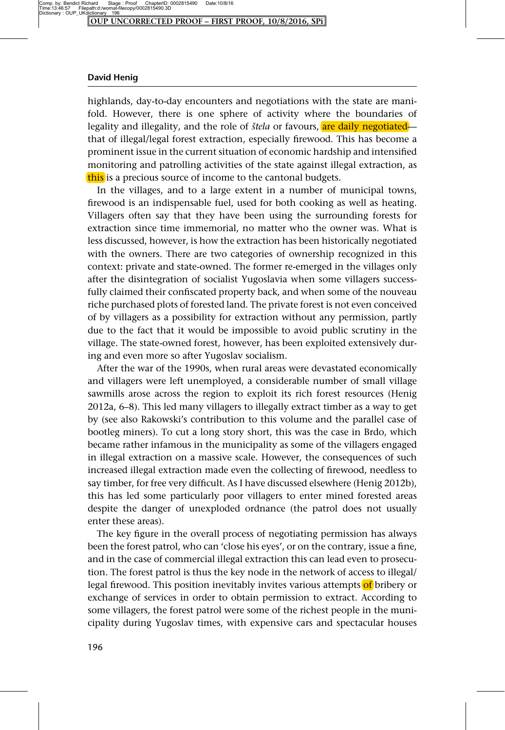# **David Henig**

highlands, day-to-day encounters and negotiations with the state are manifold. However, there is one sphere of activity where the boundaries of legality and illegality, and the role of *štela* or favours, are daily negotiated that of illegal/legal forest extraction, especially firewood. This has become a prominent issue in the current situation of economic hardship and intensified monitoring and patrolling activities of the state against illegal extraction, as this is a precious source of income to the cantonal budgets.

In the villages, and to a large extent in a number of municipal towns, firewood is an indispensable fuel, used for both cooking as well as heating. Villagers often say that they have been using the surrounding forests for extraction since time immemorial, no matter who the owner was. What is less discussed, however, is how the extraction has been historically negotiated with the owners. There are two categories of ownership recognized in this context: private and state-owned. The former re-emerged in the villages only after the disintegration of socialist Yugoslavia when some villagers successfully claimed their confiscated property back, and when some of the nouveau riche purchased plots of forested land. The private forest is not even conceived of by villagers as a possibility for extraction without any permission, partly due to the fact that it would be impossible to avoid public scrutiny in the village. The state-owned forest, however, has been exploited extensively during and even more so after Yugoslav socialism.

After the war of the 1990s, when rural areas were devastated economically and villagers were left unemployed, a considerable number of small village sawmills arose across the region to exploit its rich forest resources (Henig 2012a, 6–8). This led many villagers to illegally extract timber as a way to get by (see also Rakowski's contribution to this volume and the parallel case of bootleg miners). To cut a long story short, this was the case in Brdo, which became rather infamous in the municipality as some of the villagers engaged in illegal extraction on a massive scale. However, the consequences of such increased illegal extraction made even the collecting of firewood, needless to say timber, for free very difficult. As I have discussed elsewhere (Henig 2012b), this has led some particularly poor villagers to enter mined forested areas despite the danger of unexploded ordnance (the patrol does not usually enter these areas).

The key figure in the overall process of negotiating permission has always been the forest patrol, who can 'close his eyes', or on the contrary, issue a fine, and in the case of commercial illegal extraction this can lead even to prosecution. The forest patrol is thus the key node in the network of access to illegal/ legal firewood. This position inevitably invites various attempts of bribery or exchange of services in order to obtain permission to extract. According to some villagers, the forest patrol were some of the richest people in the municipality during Yugoslav times, with expensive cars and spectacular houses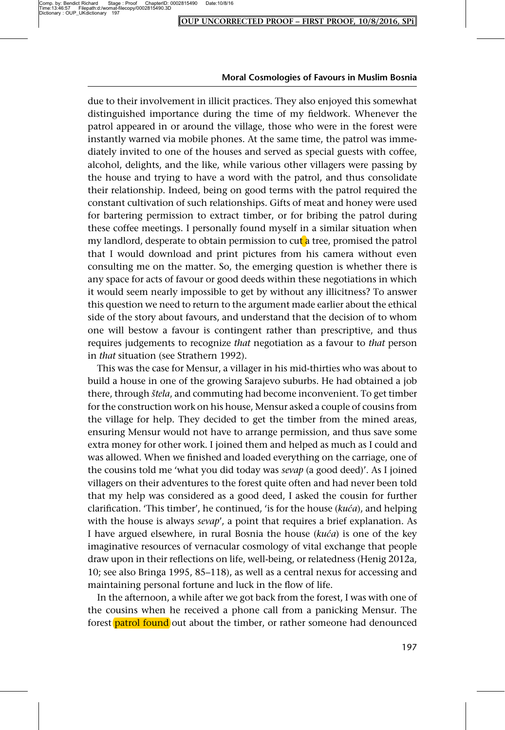due to their involvement in illicit practices. They also enjoyed this somewhat distinguished importance during the time of my fieldwork. Whenever the patrol appeared in or around the village, those who were in the forest were instantly warned via mobile phones. At the same time, the patrol was immediately invited to one of the houses and served as special guests with coffee, alcohol, delights, and the like, while various other villagers were passing by the house and trying to have a word with the patrol, and thus consolidate their relationship. Indeed, being on good terms with the patrol required the constant cultivation of such relationships. Gifts of meat and honey were used for bartering permission to extract timber, or for bribing the patrol during these coffee meetings. I personally found myself in a similar situation when my landlord, desperate to obtain permission to cut a tree, promised the patrol that I would download and print pictures from his camera without even consulting me on the matter. So, the emerging question is whether there is any space for acts of favour or good deeds within these negotiations in which it would seem nearly impossible to get by without any illicitness? To answer this question we need to return to the argument made earlier about the ethical side of the story about favours, and understand that the decision of to whom one will bestow a favour is contingent rather than prescriptive, and thus requires judgements to recognize *that* negotiation as a favour to *that* person in *that* situation (see Strathern 1992).

This was the case for Mensur, a villager in his mid-thirties who was about to build a house in one of the growing Sarajevo suburbs. He had obtained a job there, through *štela*, and commuting had become inconvenient. To get timber for the construction work on his house, Mensur asked a couple of cousins from the village for help. They decided to get the timber from the mined areas, ensuring Mensur would not have to arrange permission, and thus save some extra money for other work. I joined them and helped as much as I could and was allowed. When we finished and loaded everything on the carriage, one of the cousins told me 'what you did today was *sevap* (a good deed)'. As I joined villagers on their adventures to the forest quite often and had never been told that my help was considered as a good deed, I asked the cousin for further clarification. 'This timber', he continued, 'is for the house (*kuća*), and helping with the house is always *sevap*', a point that requires a brief explanation. As I have argued elsewhere, in rural Bosnia the house (*kuća*) is one of the key imaginative resources of vernacular cosmology of vital exchange that people draw upon in their reflections on life, well-being, or relatedness (Henig 2012a, 10; see also Bringa 1995, 85–118), as well as a central nexus for accessing and maintaining personal fortune and luck in the flow of life.

In the afternoon, a while after we got back from the forest, I was with one of the cousins when he received a phone call from a panicking Mensur. The forest patrol found out about the timber, or rather someone had denounced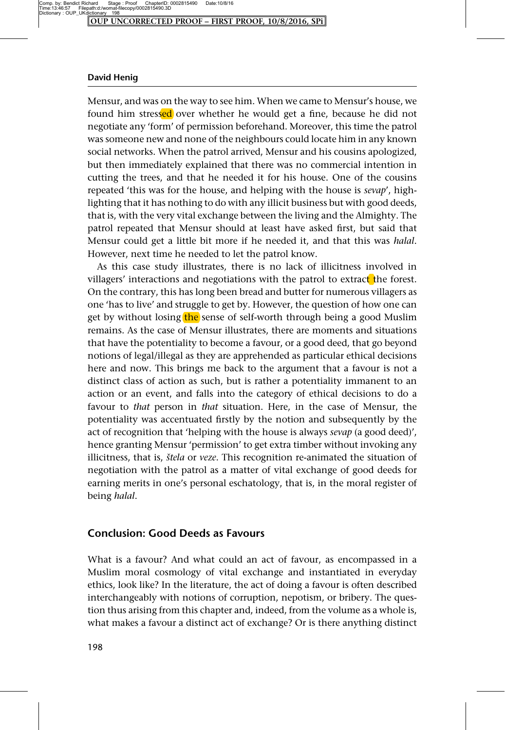#### **David Henig**

Mensur, and was on the way to see him. When we came to Mensur's house, we found him stressed over whether he would get a fine, because he did not negotiate any 'form' of permission beforehand. Moreover, this time the patrol was someone new and none of the neighbours could locate him in any known social networks. When the patrol arrived, Mensur and his cousins apologized, but then immediately explained that there was no commercial intention in cutting the trees, and that he needed it for his house. One of the cousins repeated 'this was for the house, and helping with the house is *sevap*', highlighting that it has nothing to do with any illicit business but with good deeds, that is, with the very vital exchange between the living and the Almighty. The patrol repeated that Mensur should at least have asked first, but said that Mensur could get a little bit more if he needed it, and that this was *halal*. However, next time he needed to let the patrol know.

As this case study illustrates, there is no lack of illicitness involved in villagers' interactions and negotiations with the patrol to extract the forest. On the contrary, this has long been bread and butter for numerous villagers as one 'has to live' and struggle to get by. However, the question of how one can get by without losing the sense of self-worth through being a good Muslim remains. As the case of Mensur illustrates, there are moments and situations that have the potentiality to become a favour, or a good deed, that go beyond notions of legal/illegal as they are apprehended as particular ethical decisions here and now. This brings me back to the argument that a favour is not a distinct class of action as such, but is rather a potentiality immanent to an action or an event, and falls into the category of ethical decisions to do a favour to *that* person in *that* situation. Here, in the case of Mensur, the potentiality was accentuated firstly by the notion and subsequently by the act of recognition that 'helping with the house is always *sevap* (a good deed)', hence granting Mensur 'permission' to get extra timber without invoking any illicitness, that is, *štela* or *veze*. This recognition re-animated the situation of negotiation with the patrol as a matter of vital exchange of good deeds for earning merits in one's personal eschatology, that is, in the moral register of being *halal*.

# **Conclusion: Good Deeds as Favours**

What is a favour? And what could an act of favour, as encompassed in a Muslim moral cosmology of vital exchange and instantiated in everyday ethics, look like? In the literature, the act of doing a favour is often described interchangeably with notions of corruption, nepotism, or bribery. The question thus arising from this chapter and, indeed, from the volume as a whole is, what makes a favour a distinct act of exchange? Or is there anything distinct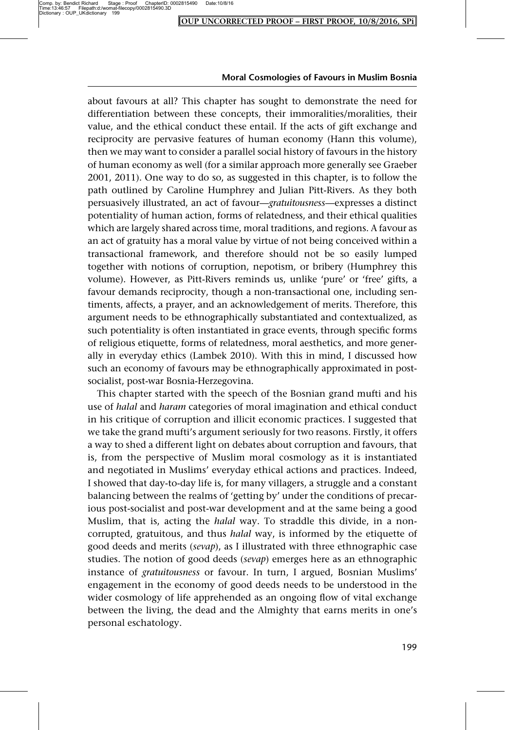# **Moral Cosmologies of Favours in Muslim Bosnia**

about favours at all? This chapter has sought to demonstrate the need for differentiation between these concepts, their immoralities/moralities, their value, and the ethical conduct these entail. If the acts of gift exchange and reciprocity are pervasive features of human economy (Hann this volume), then we may want to consider a parallel social history of favours in the history of human economy as well (for a similar approach more generally see Graeber 2001, 2011). One way to do so, as suggested in this chapter, is to follow the path outlined by Caroline Humphrey and Julian Pitt-Rivers. As they both persuasively illustrated, an act of favour—*gratuitousness*—expresses a distinct potentiality of human action, forms of relatedness, and their ethical qualities which are largely shared across time, moral traditions, and regions. A favour as an act of gratuity has a moral value by virtue of not being conceived within a transactional framework, and therefore should not be so easily lumped together with notions of corruption, nepotism, or bribery (Humphrey this volume). However, as Pitt-Rivers reminds us, unlike 'pure' or 'free' gifts, a favour demands reciprocity, though a non-transactional one, including sentiments, affects, a prayer, and an acknowledgement of merits. Therefore, this argument needs to be ethnographically substantiated and contextualized, as such potentiality is often instantiated in grace events, through specific forms of religious etiquette, forms of relatedness, moral aesthetics, and more generally in everyday ethics (Lambek 2010). With this in mind, I discussed how such an economy of favours may be ethnographically approximated in postsocialist, post-war Bosnia-Herzegovina.

This chapter started with the speech of the Bosnian grand mufti and his use of *halal* and *haram* categories of moral imagination and ethical conduct in his critique of corruption and illicit economic practices. I suggested that we take the grand mufti's argument seriously for two reasons. Firstly, it offers a way to shed a different light on debates about corruption and favours, that is, from the perspective of Muslim moral cosmology as it is instantiated and negotiated in Muslims' everyday ethical actions and practices. Indeed, I showed that day-to-day life is, for many villagers, a struggle and a constant balancing between the realms of 'getting by' under the conditions of precarious post-socialist and post-war development and at the same being a good Muslim, that is, acting the *halal* way. To straddle this divide, in a noncorrupted, gratuitous, and thus *halal* way, is informed by the etiquette of good deeds and merits (*sevap*), as I illustrated with three ethnographic case studies. The notion of good deeds (*sevap*) emerges here as an ethnographic instance of *gratuitousness* or favour. In turn, I argued, Bosnian Muslims' engagement in the economy of good deeds needs to be understood in the wider cosmology of life apprehended as an ongoing flow of vital exchange between the living, the dead and the Almighty that earns merits in one's personal eschatology.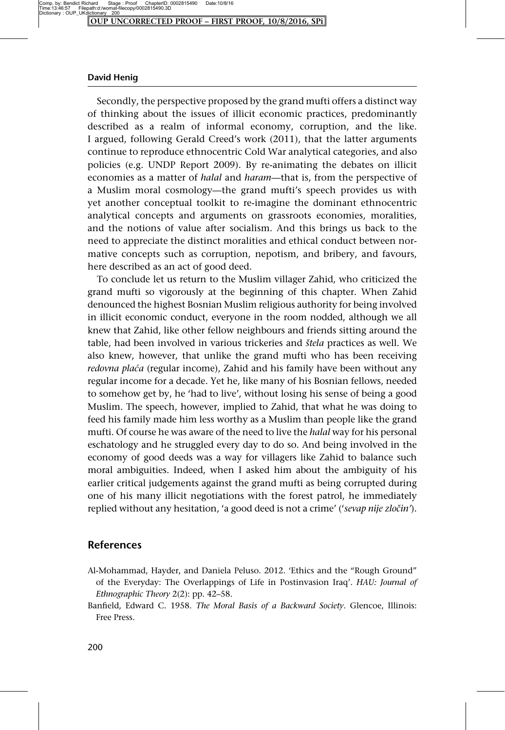## **David Henig**

Secondly, the perspective proposed by the grand mufti offers a distinct way of thinking about the issues of illicit economic practices, predominantly described as a realm of informal economy, corruption, and the like. I argued, following Gerald Creed's work (2011), that the latter arguments continue to reproduce ethnocentric Cold War analytical categories, and also policies (e.g. UNDP Report 2009). By re-animating the debates on illicit economies as a matter of *halal* and *haram*—that is, from the perspective of a Muslim moral cosmology—the grand mufti's speech provides us with yet another conceptual toolkit to re-imagine the dominant ethnocentric analytical concepts and arguments on grassroots economies, moralities, and the notions of value after socialism. And this brings us back to the need to appreciate the distinct moralities and ethical conduct between normative concepts such as corruption, nepotism, and bribery, and favours, here described as an act of good deed.

To conclude let us return to the Muslim villager Zahid, who criticized the grand mufti so vigorously at the beginning of this chapter. When Zahid denounced the highest Bosnian Muslim religious authority for being involved in illicit economic conduct, everyone in the room nodded, although we all knew that Zahid, like other fellow neighbours and friends sitting around the table, had been involved in various trickeries and *štela* practices as well. We also knew, however, that unlike the grand mufti who has been receiving *redovna plaća* (regular income), Zahid and his family have been without any regular income for a decade. Yet he, like many of his Bosnian fellows, needed to somehow get by, he 'had to live', without losing his sense of being a good Muslim. The speech, however, implied to Zahid, that what he was doing to feed his family made him less worthy as a Muslim than people like the grand mufti. Of course he was aware of the need to live the *halal* way for his personal eschatology and he struggled every day to do so. And being involved in the economy of good deeds was a way for villagers like Zahid to balance such moral ambiguities. Indeed, when I asked him about the ambiguity of his earlier critical judgements against the grand mufti as being corrupted during one of his many illicit negotiations with the forest patrol, he immediately replied without any hesitation, 'a good deed is not a crime' ('*sevap nije zlocˇin'*).

# **References**

- Al-Mohammad, Hayder, and Daniela Peluso. 2012. 'Ethics and the "Rough Ground" of the Everyday: The Overlappings of Life in Postinvasion Iraq'. *HAU: Journal of Ethnographic Theory* 2(2): pp. 42–58.
- Banfield, Edward C. 1958. *The Moral Basis of a Backward Society*. Glencoe, Illinois: Free Press.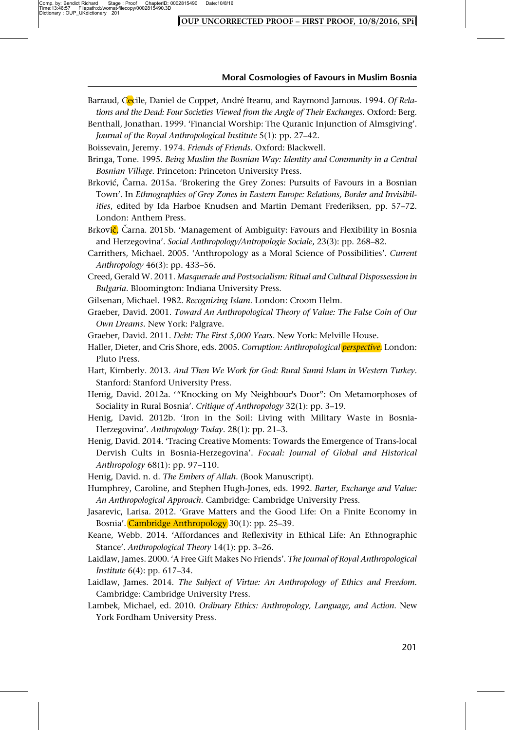- Barraud, Cecile, Daniel de Coppet, André Iteanu, and Raymond Jamous. 1994. *Of Relations and the Dead: Four Societies Viewed from the Angle of Their Exchanges.* Oxford: Berg.
- Benthall, Jonathan. 1999. 'Financial Worship: The Quranic Injunction of Almsgiving'. *Journal of the Royal Anthropological Institute* 5(1): pp. 27–42.

Boissevain, Jeremy. 1974. *Friends of Friends.* Oxford: Blackwell.

- Bringa, Tone. 1995. *Being Muslim the Bosnian Way: Identity and Community in a Central Bosnian Village.* Princeton: Princeton University Press.
- Brković, Čarna. 2015a. 'Brokering the Grey Zones: Pursuits of Favours in a Bosnian Town'. In *Ethnographies of Grey Zones in Eastern Europe: Relations, Border and Invisibilities*, edited by Ida Harboe Knudsen and Martin Demant Frederiksen, pp. 57–72. London: Anthem Press.

Brkovič, Čarna. 2015b. 'Management of Ambiguity: Favours and Flexibility in Bosnia and Herzegovina'. *Social Anthropology/Antropologie Sociale*, 23(3): pp. 268–82.

- Carrithers, Michael. 2005. 'Anthropology as a Moral Science of Possibilities'. *Current Anthropology* 46(3): pp. 433–56.
- Creed, Gerald W. 2011. *Masquerade and Postsocialism: Ritual and Cultural Dispossession in Bulgaria.* Bloomington: Indiana University Press.
- Gilsenan, Michael. 1982. *Recognizing Islam*. London: Croom Helm.
- Graeber, David. 2001. *Toward An Anthropological Theory of Value: The False Coin of Our Own Dreams.* New York: Palgrave.
- Graeber, David. 2011. *Debt: The First 5,000 Years*. New York: Melville House.
- Haller, Dieter, and Cris Shore, eds. 2005. *Corruption: Anthropological perspective.* London: Pluto Press.
- Hart, Kimberly. 2013. *And Then We Work for God: Rural Sunni Islam in Western Turkey.* Stanford: Stanford University Press.
- Henig, David. 2012a. ' "Knocking on My Neighbour's Door": On Metamorphoses of Sociality in Rural Bosnia'. *Critique of Anthropology* 32(1): pp. 3–19.
- Henig, David. 2012b. 'Iron in the Soil: Living with Military Waste in Bosnia-Herzegovina'. *Anthropology Today*. 28(1): pp. 21–3.
- Henig, David. 2014. 'Tracing Creative Moments: Towards the Emergence of Trans-local Dervish Cults in Bosnia-Herzegovina'. *Focaal: Journal of Global and Historical Anthropology* 68(1): pp. 97–110.
- Henig, David. n. d. *The Embers of Allah*. (Book Manuscript).
- Humphrey, Caroline, and Stephen Hugh-Jones, eds. 1992. *Barter, Exchange and Value: An Anthropological Approach.* Cambridge: Cambridge University Press.
- Jasarevic, Larisa. 2012. 'Grave Matters and the Good Life: On a Finite Economy in Bosnia'. Cambridge Anthropology 30(1): pp. 25–39.
- Keane, Webb. 2014. 'Affordances and Reflexivity in Ethical Life: An Ethnographic Stance'. *Anthropological Theory* 14(1): pp. 3–26.
- Laidlaw, James. 2000. 'A Free Gift Makes No Friends'. *The Journal of Royal Anthropological Institute* 6(4): pp. 617–34.
- Laidlaw, James. 2014. *The Subject of Virtue: An Anthropology of Ethics and Freedom.* Cambridge: Cambridge University Press.
- Lambek, Michael, ed. 2010. *Ordinary Ethics: Anthropology, Language, and Action.* New York Fordham University Press.